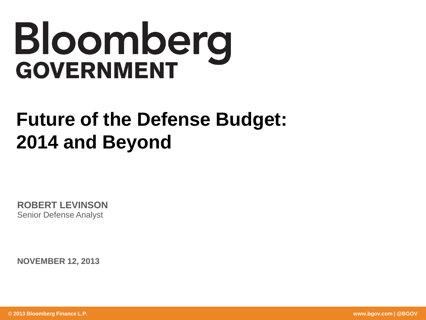# Bloomberg **GOVERNMENT**

# **Future of the Defense Budget: 2014 and Beyond**

**ROBERT LEVINSON** Senior Defense Analyst

**NOVEMBER 12, 2013**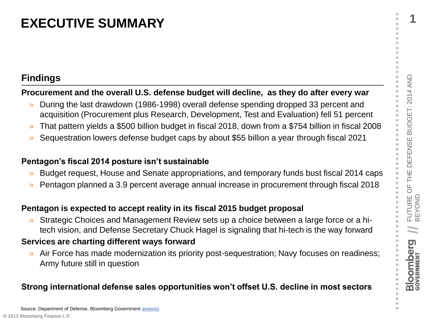# **Findings**

# **Procurement and the overall U.S. defense budget will decline, as they do after every war**

- **EXECUTIVE SUMMARY**<br> **Examples**<br> **Examples**<br> **Example Intervent and the overall U.S. defense budget will decline, as they do after every war<br>
<br>
<b>Procurement and the overall U.S. defense budget will decline, as they do afte** » During the last drawdown (1986-1998) overall defense spending dropped 33 percent and acquisition (Procurement plus Research, Development, Test and Evaluation) fell 51 percent
	- » That pattern yields a \$500 billion budget in fiscal 2018, down from a \$754 billion in fiscal 2008
	- » Sequestration lowers defense budget caps by about \$55 billion a year through fiscal 2021

# **Pentagon's fiscal 2014 posture isn't sustainable**

- » Budget request, House and Senate appropriations, and temporary funds bust fiscal 2014 caps
- » Pentagon planned a 3.9 percent average annual increase in procurement through fiscal 2018

# **Pentagon is expected to accept reality in its fiscal 2015 budget proposal**

» Strategic Choices and Management Review sets up a choice between a large force or a hitech vision, and Defense Secretary Chuck Hagel is signaling that hi-tech is the way forward

# **Services are charting different ways forward**

» Air Force has made modernization its priority post-sequestration; Navy focuses on readiness; Army future still in question

# **Strong international defense sales opportunities won't offset U.S. decline in most sectors**

ö ö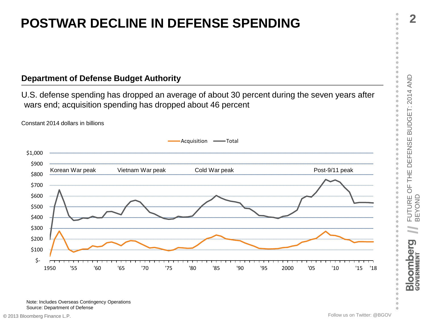# **POSTWAR DECLINE IN DEFENSE SPENDING**

# **Department of Defense Budget Authority**

U.S. defense spending has dropped an average of about 30 percent during the seven years after wars end; acquisition spending has dropped about 46 percent



Constant 2014 dollars in billions

Note: Includes Overseas Contingency Operations Source: Department of Defense

 $\circ$  $\circ$ o  $\circ$  $\circ$ 

 $\circ$  $\alpha$  $\circ$ 

**//**

**Bloomberg** 

FUTURE (<br>BEYOND

FUTURE OF THE DEFENSE BUDGET: 2014 AND BEYOND

DEFENSE

THE<sub>1</sub>

 $rac{1}{\sqrt{2}}$ ö

ö

ö ö

ö  $\circ$ 

ö

ó ó  $\circ$  $\circ$ ö ö

BUDGET: 2014 AND ö ö ö ö ö ö ö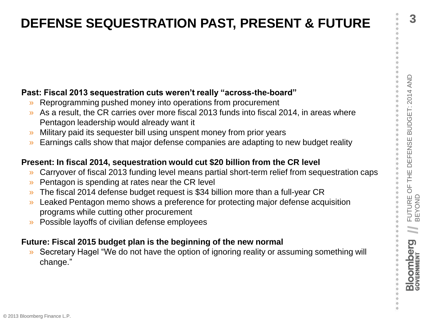# **Past: Fiscal 2013 sequestration cuts weren't really "across-the-board"**

- » Reprogramming pushed money into operations from procurement
- As a result, the CR carries over more fiscal 2013 funds into fiscal 2014, in areas where Pentagon leadership would already want it
- » Military paid its sequester bill using unspent money from prior years
- » Earnings calls show that major defense companies are adapting to new budget reality

# **Present: In fiscal 2014, sequestration would cut \$20 billion from the CR level**

- » Carryover of fiscal 2013 funding level means partial short-term relief from sequestration caps
- » Pentagon is spending at rates near the CR level
- » The fiscal 2014 defense budget request is \$34 billion more than a full-year CR
- FUTURE<br>
Fast: Fiscal 2013 sequestration cuts weren't really "across-the-board"<br>
<br> **Past: Fiscal 2013 sequestration cuts weren't really "across-the-board"**<br>
<br> **Past are substitute CR carres over more fiscal 2013 funds into** » Leaked Pentagon memo shows a preference for protecting major defense acquisition programs while cutting other procurement
	- » Possible layoffs of civilian defense employees

# **Future: Fiscal 2015 budget plan is the beginning of the new normal**

» Secretary Hagel "We do not have the option of ignoring reality or assuming something will change."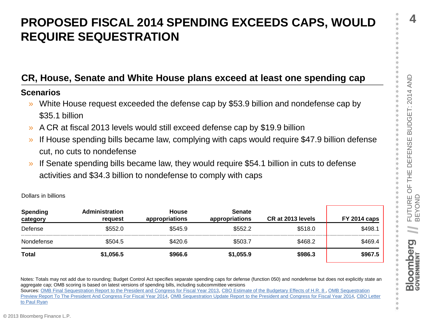ó  $\circ$ ö ö ö **4**

# **REQUIRE SEQUESTRATION**<br> **REQUIRE SEQUESTRATION**<br> **CR, House, Senate and White House plans exceed at least one spending cap**<br>
Senarios<br>
<br> **SORATION**<br>
SACR at fiscal 2013 levels would still exceed defense cap by \$53.9 billi **REQUIRE SEQUESTRATION**

# **CR, House, Senate and White House plans exceed at least one spending cap**

## **Scenarios**

Dollars in billions

- » White House request exceeded the defense cap by \$53.9 billion and nondefense cap by \$35.1 billion
- » A CR at fiscal 2013 levels would still exceed defense cap by \$19.9 billion
- » If House spending bills became law, complying with caps would require \$47.9 billion defense cut, no cuts to nondefense
- If Senate spending bills became law, they would require \$54.1 billion in cuts to defense activities and \$34.3 billion to nondefense to comply with caps

| <b>Spending</b><br>category | <b>Administration</b><br>reauest | <b>House</b><br>appropriations | <b>Senate</b><br>appropriations | CR at 2013 levels | <b>FY 2014 caps</b> |
|-----------------------------|----------------------------------|--------------------------------|---------------------------------|-------------------|---------------------|
| Defense                     | \$552.0                          | \$545.9                        | \$552.2                         | \$518.0           | \$498.1             |
| Nondefense                  | \$504.5                          | \$420.6                        | \$503.7                         | \$468.2           | \$469.4             |
| <b>Total</b>                | \$1,056.5                        | \$966.6                        | \$1,055.9                       | \$986.3           | \$967.5             |

Notes: Totals may not add due to rounding; Budget Control Act specifies separate spending caps for defense (function 050) and nondefense but does not explicitly state an aggregate cap; OMB scoring is based on latest versions of spending bills, including subcommittee versions Sources: [OMB Final Sequestration Report to the President and Congress for Fiscal Year 2013](http://www.whitehouse.gov/sites/default/files/omb/assets/legislative_reports/sequestration/sequestration_final_april2013.pdf), CBO Estimate of the Budgetary Effects of H.R. 8, OMB Sequestration [Preview Report To The President And Congress For Fiscal Year 2014](http://www.whitehouse.gov/sites/default/files/omb/assets/legislative_reports/fy14_preview_and_joint_committee_reductions_reports_05202013.pdf), [OMB Sequestration Update Report to the President and Congress for Fiscal Year 2014](http://www.whitehouse.gov/sites/default/files/omb/assets/legislative_reports/sequestration/sequestration_update_august2013.pdf), CBO Letter [to Paul Ryan](http://www.cbo.gov/sites/default/files/cbofiles/attachments/Ryan House CR 2014.pdf)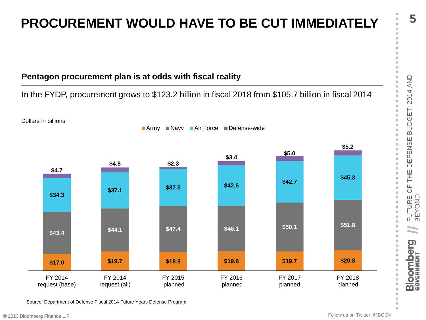# **Pentagon procurement plan is at odds with fiscal reality**

# In the FYDP, procurement grows to \$123.2 billion in fiscal 2018 from \$105.7 billion in fiscal 2014



Source: Department of Defense Fiscal 2014 Future Years Defense Program

**//**

**Bloomberg** 

 $\circ$  $\circ$  $\circ$  $\circ$ 

o  $\circ$  $\alpha$  $\alpha$ ö  $\circ$  $\circ$  $\circ$  $\circ$ ö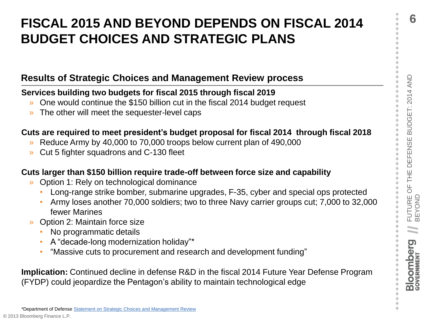**6**

# FISCAL 2015 AND BEYOND DEPENDS ON FISCAL 2014<br>
BUDGET CHOICES AND STRATEGIC PLANS<br>
Results of Strategic Choices and Management Review process<br>
Services building two budgets for fiscal 2015 through fiscal 2019<br>
• One would **BUDGET CHOICES AND STRATEGIC PLANS**

# **Results of Strategic Choices and Management Review process**

# **Services building two budgets for fiscal 2015 through fiscal 2019**

- » One would continue the \$150 billion cut in the fiscal 2014 budget request
- » The other will meet the sequester-level caps

# **Cuts are required to meet president's budget proposal for fiscal 2014 through fiscal 2018**

- » Reduce Army by 40,000 to 70,000 troops below current plan of 490,000
- » Cut 5 fighter squadrons and C-130 fleet

# **Cuts larger than \$150 billion require trade-off between force size and capability**

- » Option 1: Rely on technological dominance
	- Long-range strike bomber, submarine upgrades, F-35, cyber and special ops protected
	- Army loses another 70,000 soldiers; two to three Navy carrier groups cut; 7,000 to 32,000 fewer Marines
- » Option 2: Maintain force size
	- No programmatic details
	- A "decade-long modernization holiday"\*
	- "Massive cuts to procurement and research and development funding"

**Implication:** Continued decline in defense R&D in the fiscal 2014 Future Year Defense Program (FYDP) could jeopardize the Pentagon's ability to maintain technological edge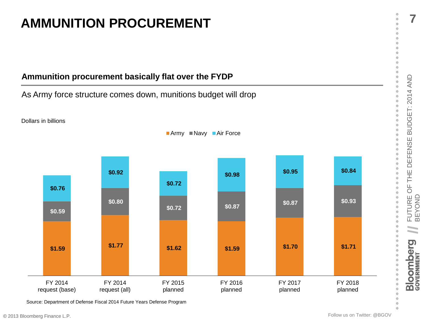

As Army force structure comes down, munitions budget will drop



Source: Department of Defense Fiscal 2014 Future Years Defense Program

**7**

 $\circ$ 

**//**

**Bloomberg**<br>GOVERNMENT

 $\circ$  $\circ$  $\circ$  $\circ$ 

 $^\circ$  $\circ$  $\circ$  $\circ$  $\circ$  $\circ$  $\circ$  $\circ$  $\circ$  $\ddot{\circ}$ ö  $\circ$  $\alpha$ ö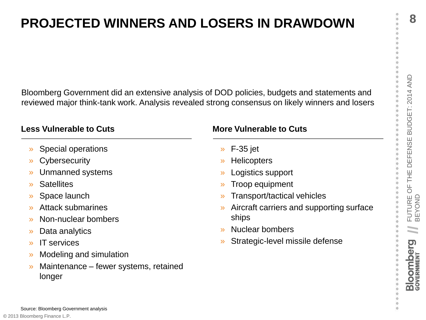$\circ$  $\circ$ 

> $\alpha$ ö

**8**

 $\circ$ 

FURNIFURE AND LOSERS IN DRAWDOWN<br>
Bloomberg Government did an extensive analysis of DOD policies, budgets and statements and<br>
reviewed major think-tank work. Analysis revealed strong consensus on likely winners and losers<br> Bloomberg Government did an extensive analysis of DOD policies, budgets and statements and reviewed major think-tank work. Analysis revealed strong consensus on likely winners and losers

# **Less Vulnerable to Cuts**

- » Special operations
- » Cybersecurity
- » Unmanned systems
- » Satellites
- » Space launch
- » Attack submarines
- » Non-nuclear bombers
- » Data analytics
- » IT services
- » Modeling and simulation
- » Maintenance fewer systems, retained longer

# **More Vulnerable to Cuts**

- » F-35 jet
- » Helicopters
- » Logistics support
- » Troop equipment
- » Transport/tactical vehicles
- » Aircraft carriers and supporting surface ships
- » Nuclear bombers
- » Strategic-level missile defense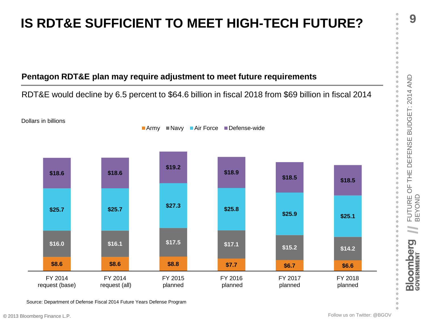# **Pentagon RDT&E plan may require adjustment to meet future requirements**

RDT&E would decline by 6.5 percent to \$64.6 billion in fiscal 2018 from \$69 billion in fiscal 2014



Source: Department of Defense Fiscal 2014 Future Years Defense Program

**9**

 $\circ$ 

**//**

**Bloomberg** 

 $\circ$  $\circ$  $\circ$ 

 $\circ$  $\circ$  $\circ$  $\circ$  $\circ$  $\rm ^{\circ}$  $\circ$ ö  $\circ$  $\circ$  $\circ$  $\circ$  $\alpha$ ö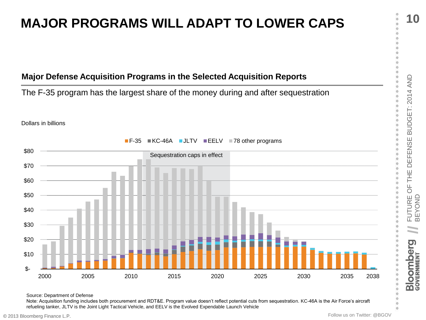# **MAJOR PROGRAMS WILL ADAPT TO LOWER CAPS**

# **Major Defense Acquisition Programs in the Selected Acquisition Reports**

The F-35 program has the largest share of the money during and after sequestration





Source: Department of Defense

Note: Acquisition funding includes both procurement and RDT&E. Program value doesn't reflect potential cuts from sequestration. KC-46A is the Air Force's aircraft refueling tanker, JLTV is the Joint Light Tactical Vehicle, and EELV is the Evolved Expendable Launch Vehicle

 $\circ$  $\circ$ o  $\circ$  $\alpha$ 

 $\circ$ 

**//**

 $\overline{\mathbf{Q}}$ 

**Bloomber**<br>GOVERNMENT

 $\circ$  $\circ$ 

ò ö  $\circ$ ö ö ö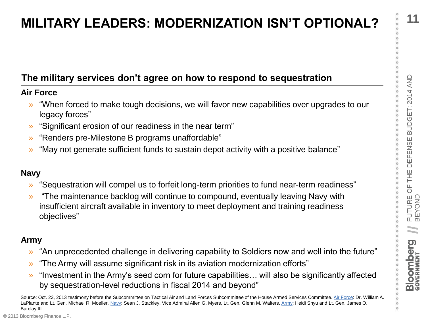ö ö ö ö **11**

# **The military services don't agree on how to respond to sequestration**

# **Air Force**

- » "When forced to make tough decisions, we will favor new capabilities over upgrades to our legacy forces"
- » "Significant erosion of our readiness in the near term"
- » "Renders pre-Milestone B programs unaffordable"
- » "May not generate sufficient funds to sustain depot activity with a positive balance"

# **Navy**

- » "Sequestration will compel us to forfeit long-term priorities to fund near-term readiness"
- **MILITARY LEADERS: MODERNIZATION ISN'T OPTIONAL?**<br>
The military services don't agree on how to respond to sequestration<br>
Air Force<br>
 "When forced to make tough decisions, we will favor new capabilities over upgrades to ou » "The maintenance backlog will continue to compound, eventually leaving Navy with insufficient aircraft available in inventory to meet deployment and training readiness objectives"

# **Army**

- » "An unprecedented challenge in delivering capability to Soldiers now and well into the future"
- » "The Army will assume significant risk in its aviation modernization efforts"
- » "Investment in the Army's seed corn for future capabilities… will also be significantly affected by sequestration-level reductions in fiscal 2014 and beyond"

Source: Oct. 23, 2013 testimony before the Subcommittee on Tactical Air and Land Forces Subcommittee of the House Armed Services Committee. [Air Force](http://docs.house.gov/meetings/AS/AS25/20131023/101416/HHRG-113-AS25-Wstate-LaPlanteW-20131023.pdf): Dr. William A. LaPlante and Lt. Gen. Michael R. Moeller. [Navy:](http://docs.house.gov/meetings/AS/AS25/20131023/101416/HHRG-113-AS25-Wstate-MyersA-20131023.pdf) Sean J. Stackley, Vice Admiral Allen G. Myers, Lt. Gen. Glenn M. Walters. [Army](http://docs.house.gov/meetings/AS/AS25/20131023/101416/HHRG-113-AS25-Wstate-BarclayIIIJ-20131023.pdf): Heidi Shyu and Lt. Gen. James O. Barclay III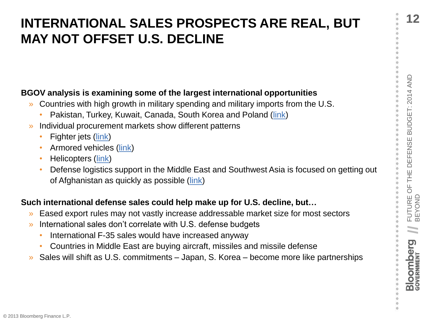# FURNATIONAL SALES PROSPECTS ARE REAL, BUT<br>
MAY NOT OFFSET U.S. DECLINE<br>
SEOV analysis is examining some of the largest international opportunities<br>
• Countries with high growth in military spending and military imports fro **MAY NOT OFFSET U.S. DECLINE**

# **BGOV analysis is examining some of the largest international opportunities**

- » Countries with high growth in military spending and military imports from the U.S.
	- Pakistan, Turkey, Kuwait, Canada, South Korea and Poland ([link\)](http://www.bgov.com/media/news/P6VHDbhdGetHmm2qt771uQ)
- » Individual procurement markets show different patterns
	- Fighter jets ([link](http://www.bgov.com/media/news/G1X9vxIq3WJTwR6mJkXwsw))
	- Armored vehicles ([link](http://www.bgov.com/media/news/Ql7wHdGLGJwdgHzLgdOb2w))
	- Helicopters ([link](http://www.bgov.com/news_item/g6qkjLut790jMtlzkQJWjA))
	- Defense logistics support in the Middle East and Southwest Asia is focused on getting out of Afghanistan as quickly as possible ([link\)](http://www.bgov.com/media/news/HePU3Hz7VxlOBbfUriuwzw)

# **Such international defense sales could help make up for U.S. decline, but…**

- » Eased export rules may not vastly increase addressable market size for most sectors
- International sales don't correlate with U.S. defense budgets
	- International F-35 sales would have increased anyway
	- Countries in Middle East are buying aircraft, missiles and missile defense
- » Sales will shift as U.S. commitments Japan, S. Korea become more like partnerships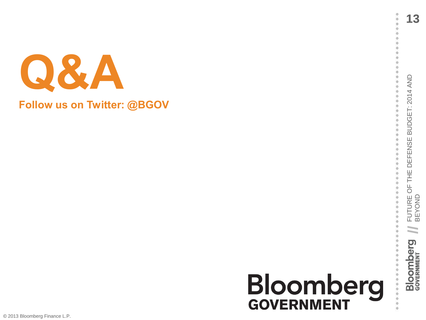

**Follow us on Twitter: @BGOV**

# **Bloomberg**<br>GOVERNMENT

 $\circ$  $\circ$  $\circ$  $\circ$  $\circ$  $\circ$ ö  $\circ$ 

**//**

<u>ල</u>

**Bloomber**<br>GOVERNMENT

 $\circ$  $\circ$  $\circ$  $\circ$ 

 $\circ$ 

 $\ddot{\circ}$  $\circ$  $\circ$  $\circ$  $\circ$ 

 $\circ$  $000$  $\circ$  $\circ$  $\circ$  $\circ$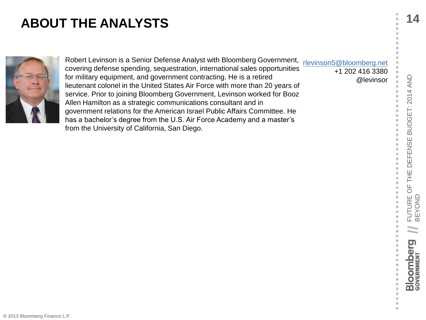

FROM THE ANALYSTS<br>
FROM THE AND ALYSTS<br>
FOR THE AND A SERIOR CONTINUES Analyst with Bloomberg Government, devinsory Subloomberg definess and<br>
for military equipment, and government contracting. He is a retired<br>
for militar [rlevinson5@bloomberg.net](mailto:rlevinson5@bloomberg.net) +1 202 416 3380 @levinsor Robert Levinson is a Senior Defense Analyst with Bloomberg Government, covering defense spending, sequestration, international sales opportunities for military equipment, and government contracting. He is a retired lieutenant colonel in the United States Air Force with more than 20 years of service. Prior to joining Bloomberg Government, Levinson worked for Booz Allen Hamilton as a strategic communications consultant and in government relations for the American Israel Public Affairs Committee. He has a bachelor's degree from the U.S. Air Force Academy and a master's from the University of California, San Diego.

 $\circ$  $\circ$ 

 $\circ$ Ö  $\circ$ ö